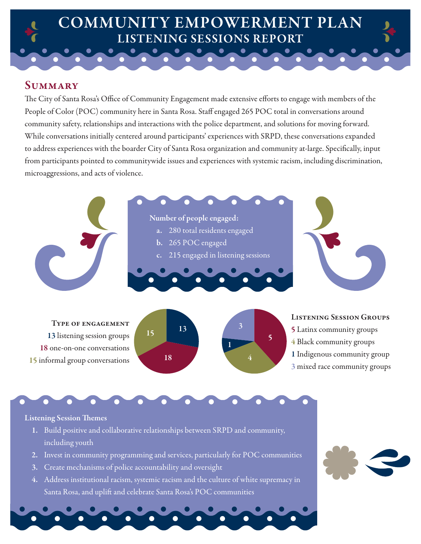## COMMUNITY EMPOWERMENT PLAN LISTENING SESSIONS REPORT

## **SUMMARY**

The City of Santa Rosa's Office of Community Engagement made extensive efforts to engage with members of the People of Color (POC) community here in Santa Rosa. Staff engaged 265 POC total in conversations around community safety, relationships and interactions with the police department, and solutions for moving forward. While conversations initially centered around participants' experiences with SRPD, these conversations expanded to address experiences with the boarder City of Santa Rosa organization and community at-large. Specifcally, input from participants pointed to communitywide issues and experiences with systemic racism, including discrimination, microaggressions, and acts of violence.



## **Listening Session Themes**

- 1. Build positive and collaborative relationships between SRPD and community, including youth
- 2. Invest in community programming and services, particularly for POC communities
- 3. Create mechanisms of police accountability and oversight
- 4. Address institutional racism, systemic racism and the culture of white supremacy in Santa Rosa, and uplift and celebrate Santa Rosa's POC communities